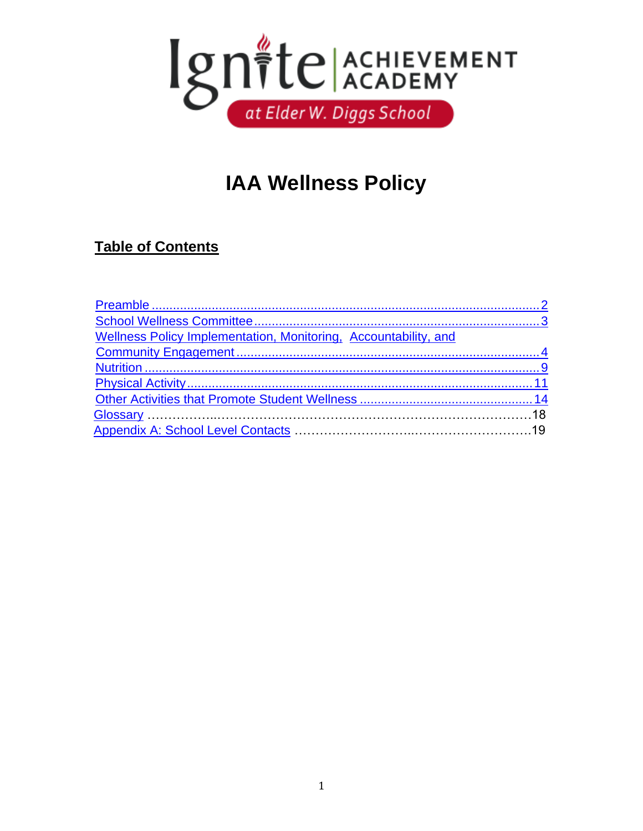

# **IAA Wellness Policy**

# **Table of Contents**

| Wellness Policy Implementation, Monitoring, Accountability, and |  |
|-----------------------------------------------------------------|--|
|                                                                 |  |
|                                                                 |  |
|                                                                 |  |
|                                                                 |  |
|                                                                 |  |
|                                                                 |  |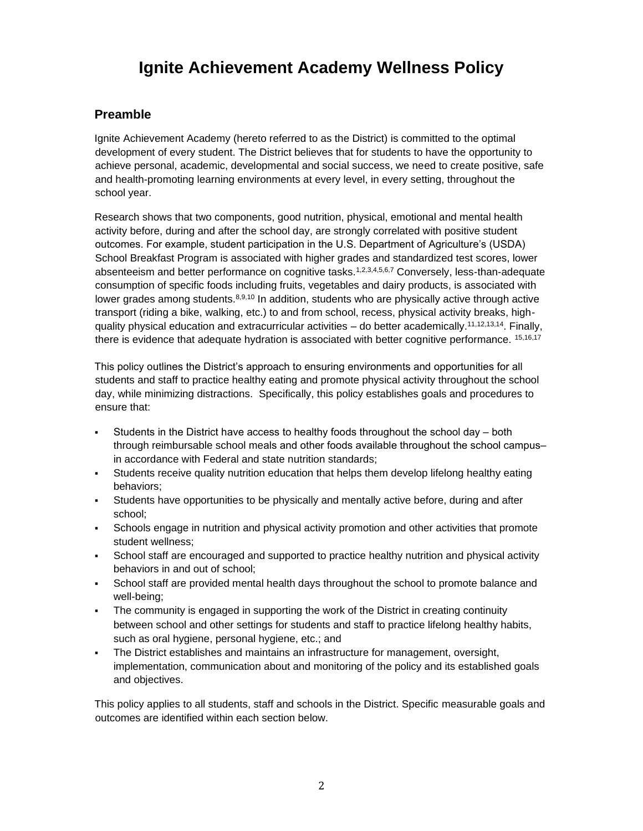# **Ignite Achievement Academy Wellness Policy**

# <span id="page-1-0"></span>**Preamble**

Ignite Achievement Academy (hereto referred to as the District) is committed to the optimal development of every student. The District believes that for students to have the opportunity to achieve personal, academic, developmental and social success, we need to create positive, safe and health-promoting learning environments at every level, in every setting, throughout the school year.

Research shows that two components, good nutrition, physical, emotional and mental health activity before, during and after the school day, are strongly correlated with positive student outcomes. For example, student participation in the U.S. Department of Agriculture's (USDA) School Breakfast Program is associated with higher grades and standardized test scores, lower absenteeism and better performance on cognitive tasks.1,2,3,4,5,6,7 Conversely, less-than-adequate consumption of specific foods including fruits, vegetables and dairy products, is associated with lower grades among students.<sup>8,9,10</sup> In addition, students who are physically active through active transport (riding a bike, walking, etc.) to and from school, recess, physical activity breaks, highquality physical education and extracurricular activities – do better academically.<sup>11,12,13,14</sup>. Finally, there is evidence that adequate hydration is associated with better cognitive performance. 15,16,17

This policy outlines the District's approach to ensuring environments and opportunities for all students and staff to practice healthy eating and promote physical activity throughout the school day, while minimizing distractions. Specifically, this policy establishes goals and procedures to ensure that:

- Students in the District have access to healthy foods throughout the school day ‒ both through reimbursable school meals and other foods available throughout the school campusin accordance with Federal and state nutrition standards;
- Students receive quality nutrition education that helps them develop lifelong healthy eating behaviors;
- Students have opportunities to be physically and mentally active before, during and after school;
- Schools engage in nutrition and physical activity promotion and other activities that promote student wellness;
- School staff are encouraged and supported to practice healthy nutrition and physical activity behaviors in and out of school;
- School staff are provided mental health days throughout the school to promote balance and well-being;
- The community is engaged in supporting the work of the District in creating continuity between school and other settings for students and staff to practice lifelong healthy habits, such as oral hygiene, personal hygiene, etc.; and
- The District establishes and maintains an infrastructure for management, oversight, implementation, communication about and monitoring of the policy and its established goals and objectives.

This policy applies to all students, staff and schools in the District. Specific measurable goals and outcomes are identified within each section below.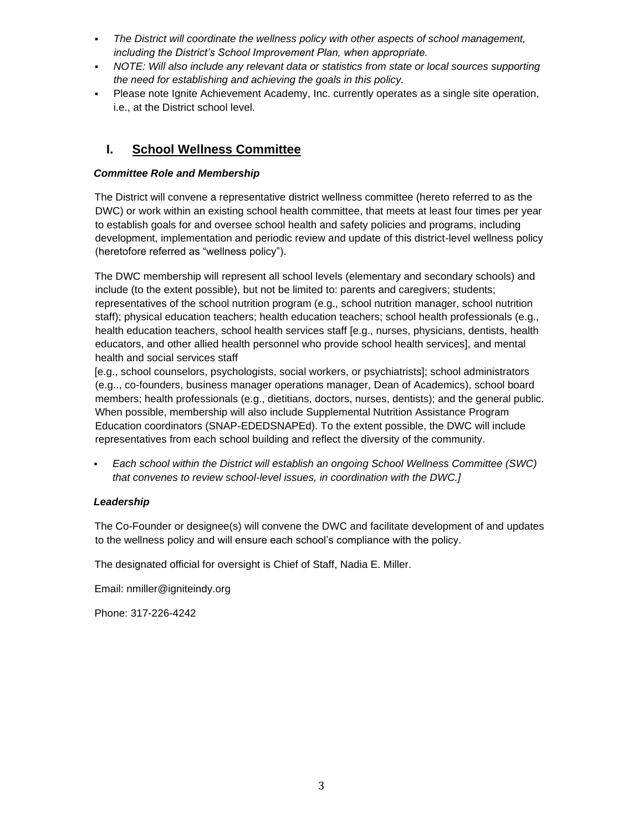- *The District will coordinate the wellness policy with other aspects of school management, including the District's School Improvement Plan, when appropriate.*
- *NOTE: Will also include any relevant data or statistics from state or local sources supporting the need for establishing and achieving the goals in this policy.*
- Please note Ignite Achievement Academy, Inc. currently operates as a single site operation, i.e., at the District school level.

# <span id="page-2-0"></span>**I. School Wellness Committee**

#### *Committee Role and Membership*

The District will convene a representative district wellness committee (hereto referred to as the DWC) or work within an existing school health committee, that meets at least four times per year to establish goals for and oversee school health and safety policies and programs, including development, implementation and periodic review and update of this district-level wellness policy (heretofore referred as "wellness policy").

The DWC membership will represent all school levels (elementary and secondary schools) and include (to the extent possible), but not be limited to: parents and caregivers; students; representatives of the school nutrition program (e.g., school nutrition manager, school nutrition staff); physical education teachers; health education teachers; school health professionals (e.g., health education teachers, school health services staff [e.g., nurses, physicians, dentists, health educators, and other allied health personnel who provide school health services], and mental health and social services staff

[e.g., school counselors, psychologists, social workers, or psychiatrists]; school administrators (e.g.., co-founders, business manager operations manager, Dean of Academics), school board members; health professionals (e.g., dietitians, doctors, nurses, dentists); and the general public. When possible, membership will also include Supplemental Nutrition Assistance Program Education coordinators (SNAP-EDEDSNAPEd). To the extent possible, the DWC will include representatives from each school building and reflect the diversity of the community.

Each school within the District will establish an ongoing School Wellness Committee (SWC) *that convenes to review school-level issues, in coordination with the DWC.]* 

#### *Leadership*

The Co-Founder or designee(s) will convene the DWC and facilitate development of and updates to the wellness policy and will ensure each school's compliance with the policy.

The designated official for oversight is Chief of Staff, Nadia E. Miller.

Email: nmiller@igniteindy.org

Phone: 317-226-4242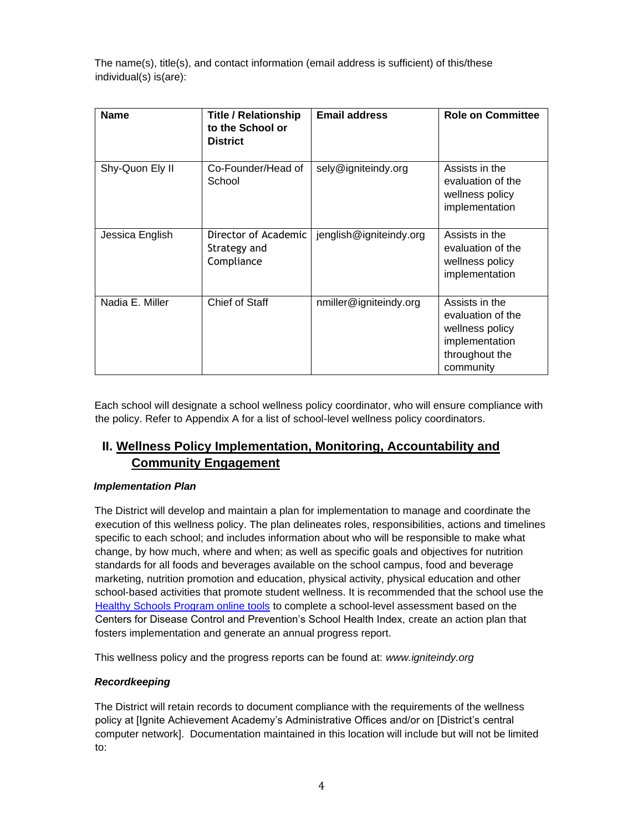The name(s), title(s), and contact information (email address is sufficient) of this/these individual(s) is(are):

| <b>Name</b>     | <b>Title / Relationship</b><br>to the School or<br><b>District</b> | <b>Email address</b>    | <b>Role on Committee</b>                                                                                |
|-----------------|--------------------------------------------------------------------|-------------------------|---------------------------------------------------------------------------------------------------------|
| Shy-Quon Ely II | Co-Founder/Head of<br>School                                       | sely@igniteindy.org     | Assists in the<br>evaluation of the<br>wellness policy<br>implementation                                |
| Jessica English | Director of Academic<br>Strategy and<br>Compliance                 | jenglish@igniteindy.org | Assists in the<br>evaluation of the<br>wellness policy<br>implementation                                |
| Nadia E. Miller | Chief of Staff                                                     | nmiller@igniteindy.org  | Assists in the<br>evaluation of the<br>wellness policy<br>implementation<br>throughout the<br>community |

Each school will designate a school wellness policy coordinator, who will ensure compliance with the policy. Refer to Appendix A for a list of school-level wellness policy coordinators.

# <span id="page-3-0"></span>**II. Wellness Policy Implementation, Monitoring, Accountability and Community Engagement**

#### *Implementation Plan*

The District will develop and maintain a plan for implementation to manage and coordinate the execution of this wellness policy. The plan delineates roles, responsibilities, actions and timelines specific to each school; and includes information about who will be responsible to make what change, by how much, where and when; as well as specific goals and objectives for nutrition standards for all foods and beverages available on the school campus, food and beverage marketing, nutrition promotion and education, physical activity, physical education and other school-based activities that promote student wellness. It is recommended that the school use the [Healthy Schools Program online tools](http://www.schools.healthiergeneration.org/) to complete a school-level assessment based on the Centers for Disease Control and Prevention's School Health Index, create an action plan that fosters implementation and generate an annual progress report.

This wellness policy and the progress reports can be found at: *www.igniteindy.org*

### *Recordkeeping*

The District will retain records to document compliance with the requirements of the wellness policy at [Ignite Achievement Academy's Administrative Offices and/or on [District's central computer network]. Documentation maintained in this location will include but will not be limited to: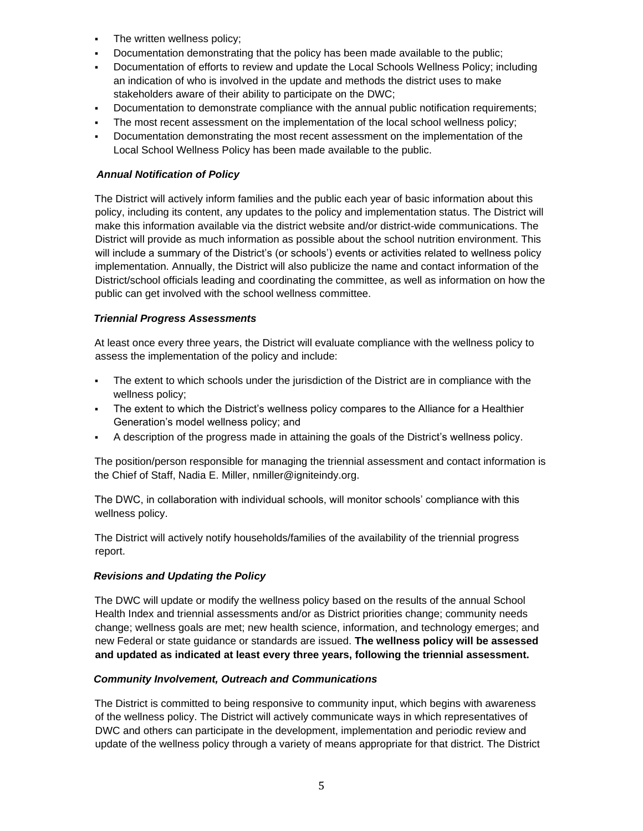- The written wellness policy;
- Documentation demonstrating that the policy has been made available to the public;
- Documentation of efforts to review and update the Local Schools Wellness Policy; including an indication of who is involved in the update and methods the district uses to make stakeholders aware of their ability to participate on the DWC;
- Documentation to demonstrate compliance with the annual public notification requirements;
- The most recent assessment on the implementation of the local school wellness policy;
- Documentation demonstrating the most recent assessment on the implementation of the Local School Wellness Policy has been made available to the public.

#### *Annual Notification of Policy*

The District will actively inform families and the public each year of basic information about this policy, including its content, any updates to the policy and implementation status. The District will make this information available via the district website and/or district-wide communications. The District will provide as much information as possible about the school nutrition environment. This will include a summary of the District's (or schools') events or activities related to wellness policy implementation. Annually, the District will also publicize the name and contact information of the District/school officials leading and coordinating the committee, as well as information on how the public can get involved with the school wellness committee.

#### *Triennial Progress Assessments*

At least once every three years, the District will evaluate compliance with the wellness policy to assess the implementation of the policy and include:

- The extent to which schools under the jurisdiction of the District are in compliance with the wellness policy;
- The extent to which the District's wellness policy compares to the Alliance for a Healthier Generation's model wellness policy; and
- A description of the progress made in attaining the goals of the District's wellness policy.

The position/person responsible for managing the triennial assessment and contact information is the Chief of Staff, Nadia E. Miller, nmiller@igniteindy.org.

The DWC, in collaboration with individual schools, will monitor schools' compliance with this wellness policy.

The District will actively notify households/families of the availability of the triennial progress report.

#### *Revisions and Updating the Policy*

The DWC will update or modify the wellness policy based on the results of the annual School Health Index and triennial assessments and/or as District priorities change; community needs change; wellness goals are met; new health science, information, and technology emerges; and new Federal or state guidance or standards are issued. **The wellness policy will be assessed and updated as indicated at least every three years, following the triennial assessment.**

#### *Community Involvement, Outreach and Communications*

The District is committed to being responsive to community input, which begins with awareness of the wellness policy. The District will actively communicate ways in which representatives of DWC and others can participate in the development, implementation and periodic review and update of the wellness policy through a variety of means appropriate for that district. The District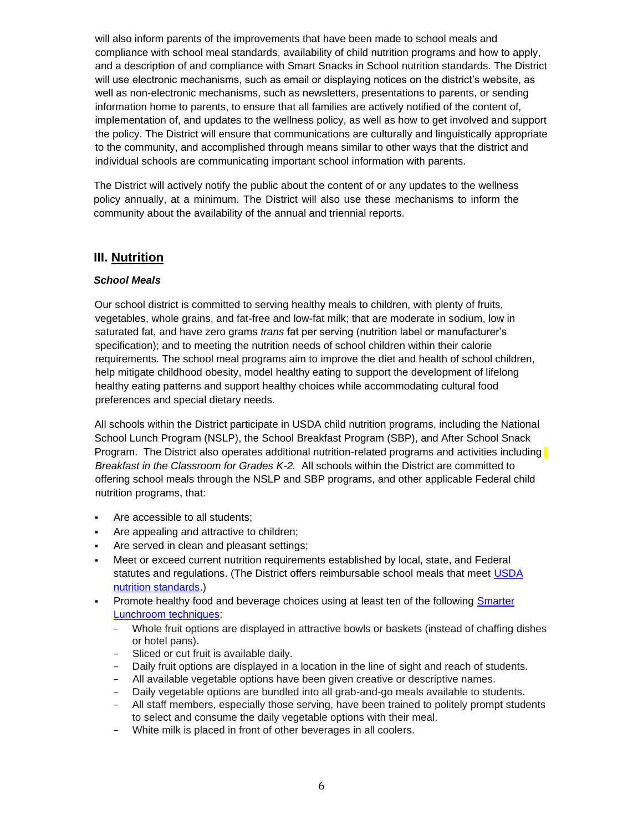will also inform parents of the improvements that have been made to school meals and compliance with school meal standards, availability of child nutrition programs and how to apply, and a description of and compliance with Smart Snacks in School nutrition standards. The District will use electronic mechanisms, such as email or displaying notices on the district's website, as well as non-electronic mechanisms, such as newsletters, presentations to parents, or sending information home to parents, to ensure that all families are actively notified of the content of, implementation of, and updates to the wellness policy, as well as how to get involved and support the policy. The District will ensure that communications are culturally and linguistically appropriate to the community, and accomplished through means similar to other ways that the district and individual schools are communicating important school information with parents.

The District will actively notify the public about the content of or any updates to the wellness policy annually, at a minimum. The District will also use these mechanisms to inform the community about the availability of the annual and triennial reports.

# **III. Nutrition**

#### *School Meals*

Our school district is committed to serving healthy meals to children, with plenty of fruits, vegetables, whole grains, and fat-free and low-fat milk; that are moderate in sodium, low in saturated fat, and have zero grams *trans* fat per serving (nutrition label or manufacturer's specification); and to meeting the nutrition needs of school children within their calorie requirements. The school meal programs aim to improve the diet and health of school children, help mitigate childhood obesity, model healthy eating to support the development of lifelong healthy eating patterns and support healthy choices while accommodating cultural food preferences and special dietary needs.

All schools within the District participate in USDA child nutrition programs, including the National School Lunch Program (NSLP), the School Breakfast Program (SBP), and After School Snack Program. The District also operates additional nutrition-related programs and activities including *Breakfast in the Classroom for Grades K-2.* All schools within the District are committed to offering school meals through the NSLP and SBP programs, and other applicable Federal child nutrition programs, that:

- Are accessible to all students;
- Are appealing and attractive to children;
- Are served in clean and pleasant settings;
- Meet or exceed current nutrition requirements established by local, state, and Federal statutes and regulations. (The District offers reimbursable school meals that meet [USDA](http://www.fns.usda.gov/school-meals/nutrition-standards-school-meals) [nutrition standards.\)](http://www.fns.usda.gov/school-meals/nutrition-standards-school-meals)
- Promote healthy food and beverage choices using at least ten of the following [Smarter](http://smarterlunchrooms.org/ideas) [Lunchroom techniques:](http://smarterlunchrooms.org/ideas)
	- − Whole fruit options are displayed in attractive bowls or baskets (instead of chaffing dishes or hotel pans).
	- − Sliced or cut fruit is available daily.
	- Daily fruit options are displayed in a location in the line of sight and reach of students.
	- − All available vegetable options have been given creative or descriptive names.
	- Daily vegetable options are bundled into all grab-and-go meals available to students.
	- − All staff members, especially those serving, have been trained to politely prompt students to select and consume the daily vegetable options with their meal.
	- − White milk is placed in front of other beverages in all coolers.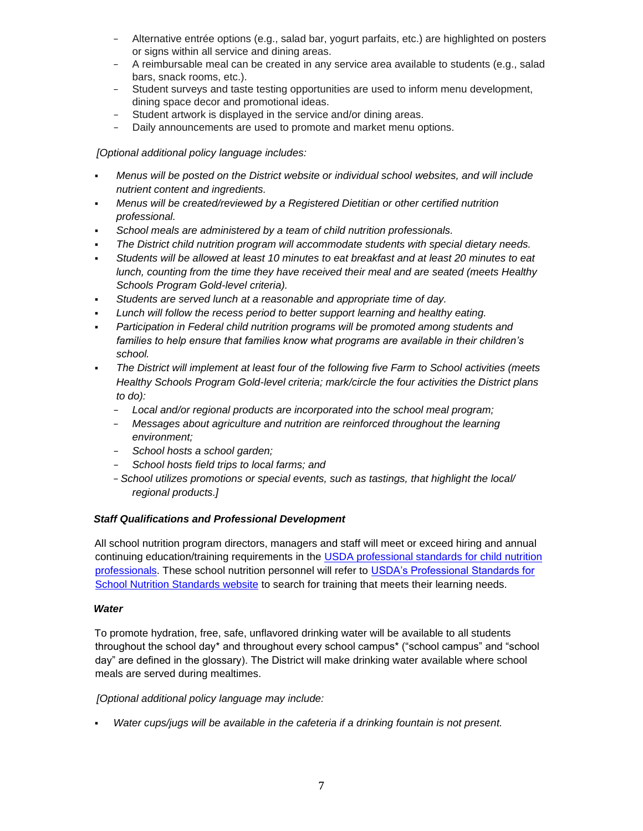- − Alternative entrée options (e.g., salad bar, yogurt parfaits, etc.) are highlighted on posters or signs within all service and dining areas.
- − A reimbursable meal can be created in any service area available to students (e.g., salad bars, snack rooms, etc.).
- − Student surveys and taste testing opportunities are used to inform menu development, dining space decor and promotional ideas.
- − Student artwork is displayed in the service and/or dining areas.
- Daily announcements are used to promote and market menu options.

#### *[Optional additional policy language includes:*

- *Menus will be posted on the District website or individual school websites, and will include nutrient content and ingredients.*
- *Menus will be created/reviewed by a Registered Dietitian or other certified nutrition professional.*
- School meals are administered by a team of child nutrition professionals.
- The District child nutrition program will accommodate students with special dietary needs.
- *Students will be allowed at least 10 minutes to eat breakfast and at least 20 minutes to eat lunch, counting from the time they have received their meal and are seated (meets Healthy Schools Program Gold-level criteria).*
- Students are served lunch at a reasonable and appropriate time of day.
- Lunch will follow the recess period to better support learning and healthy eating.
- *Participation in Federal child nutrition programs will be promoted among students and families to help ensure that families know what programs are available in their children's school.*
- The District will implement at least four of the following five Farm to School activities (meets *Healthy Schools Program Gold-level criteria; mark/circle the four activities the District plans to do):* 
	- − *Local and/or regional products are incorporated into the school meal program;*
	- − *Messages about agriculture and nutrition are reinforced throughout the learning environment;*
	- − *School hosts a school garden;*
	- − *School hosts field trips to local farms; and*
	- − *School utilizes promotions or special events, such as tastings, that highlight the local/ regional products.]*

#### *Staff Qualifications and Professional Development*

All school nutrition program directors, managers and staff will meet or exceed hiring and annual continuing education/training requirements in the [USDA professional standards for child nutrition](http://www.fns.usda.gov/sites/default/files/CN2014-0130.pdf) [professionals.](http://www.fns.usda.gov/sites/default/files/CN2014-0130.pdf) These school nutrition personnel will refer to [USDA's Professional Standards for](http://professionalstandards.nal.usda.gov/) [School Nutrition Standards website](http://professionalstandards.nal.usda.gov/) to search for training that meets their learning needs.

#### *Water*

To promote hydration, free, safe, unflavored drinking water will be available to all students throughout the school day\* and throughout every school campus\* ("school campus" and "school day" are defined in the glossary). The District will make drinking water available where school meals are served during mealtimes.

#### *[Optional additional policy language may include:*

Water cups/jugs will be available in the cafeteria if a drinking fountain is not present.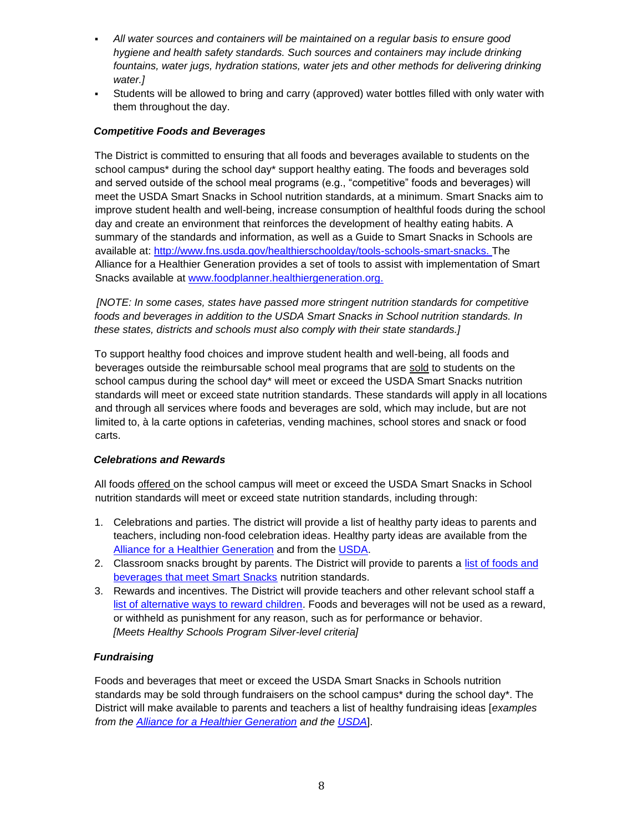- *All water sources and containers will be maintained on a regular basis to ensure good hygiene and health safety standards. Such sources and containers may include drinking fountains, water jugs, hydration stations, water jets and other methods for delivering drinking water.]*
- Students will be allowed to bring and carry (approved) water bottles filled with only water with them throughout the day.

#### *Competitive Foods and Beverages*

The District is committed to ensuring that all foods and beverages available to students on the school campus\* during the school day\* support healthy eating. The foods and beverages sold and served outside of the school meal programs (e.g., "competitive" foods and beverages) will meet the USDA Smart Snacks in School nutrition standards, at a minimum. Smart Snacks aim to improve student health and well-being, increase consumption of healthful foods during the school day and create an environment that reinforces the development of healthy eating habits. A summary of the standards and information, as well as a Guide to Smart Snacks in Schools are available at: [http://www.fns.usda.gov/healthierschoolday/tools-schools-smart-snacks.](http://www.fns.usda.gov/healthierschoolday/tools-schools-smart-snacks) The Alliance for a Healthier Generation provides a set of tools to assist with implementation of Smart Snacks available at [www.foodplanner.healthiergeneration.org.](http://www.foodplanner.healthiergeneration.org/)

*[NOTE: In some cases, states have passed more stringent nutrition standards for competitive foods and beverages in addition to the USDA Smart Snacks in School nutrition standards. In these states, districts and schools must also comply with their state standards.]* 

To support healthy food choices and improve student health and well-being, all foods and beverages outside the reimbursable school meal programs that are sold to students on the school campus during the school day\* will meet or exceed the USDA Smart Snacks nutrition standards will meet or exceed state nutrition standards. These standards will apply in all locations and through all services where foods and beverages are sold, which may include, but are not limited to, à la carte options in cafeterias, vending machines, school stores and snack or food carts.

#### *Celebrations and Rewards*

All foods offered on the school campus will meet or exceed the USDA Smart Snacks in School nutrition standards will meet or exceed state nutrition standards, including through:

- 1. Celebrations and parties. The district will provide a list of healthy party ideas to parents and teachers, including non-food celebration ideas. Healthy party ideas are available from the [Alliance for a Healthier Generation](https://www.healthiergeneration.org/take_action/schools/snacks_and_beverages/celebrations/) [a](https://www.healthiergeneration.org/take_action/schools/snacks_and_beverages/celebrations/)nd from the [USDA.](http://healthymeals.nal.usda.gov/local-wellness-policy-resources/wellness-policy-elements/healthy-celebrations)
- 2. Classroom snacks brought by parents. The District will provide to parents a [list of foods and](https://www.healthiergeneration.org/live_healthier/eat_healthier/alliance_product_navigator/browse_products/?product_category_id=720) [beverages that meet Smart Snacks](https://www.healthiergeneration.org/live_healthier/eat_healthier/alliance_product_navigator/browse_products/?product_category_id=720) nutrition standards.
- 3. Rewards and incentives. The District will provide teachers and other relevant school staff a [list of alternative ways to reward children.](https://www.healthiergeneration.org/take_action/schools/snacks_and_beverages/non-food_rewards/) Foods and beverages will not be used as a reward, or withheld as punishment for any reason, such as for performance or behavior. *[Meets Healthy Schools Program Silver-level criteria]*

#### *Fundraising*

Foods and beverages that meet or exceed the USDA Smart Snacks in Schools nutrition standards may be sold through fundraisers on the school campus\* during the school day\*. The District will make available to parents and teachers a list of healthy fundraising ideas [*examples from the [Alliance for a Healthier Generation](https://www.healthiergeneration.org/take_action/schools/snacks_and_beverages/fundraisers/) [a](https://www.healthiergeneration.org/take_action/schools/snacks_and_beverages/fundraisers/)nd the [USDA](http://healthymeals.nal.usda.gov/local-wellness-policy-resources/wellness-policy-elements/healthy-fundraising)*[\].](http://healthymeals.nal.usda.gov/local-wellness-policy-resources/wellness-policy-elements/healthy-fundraising)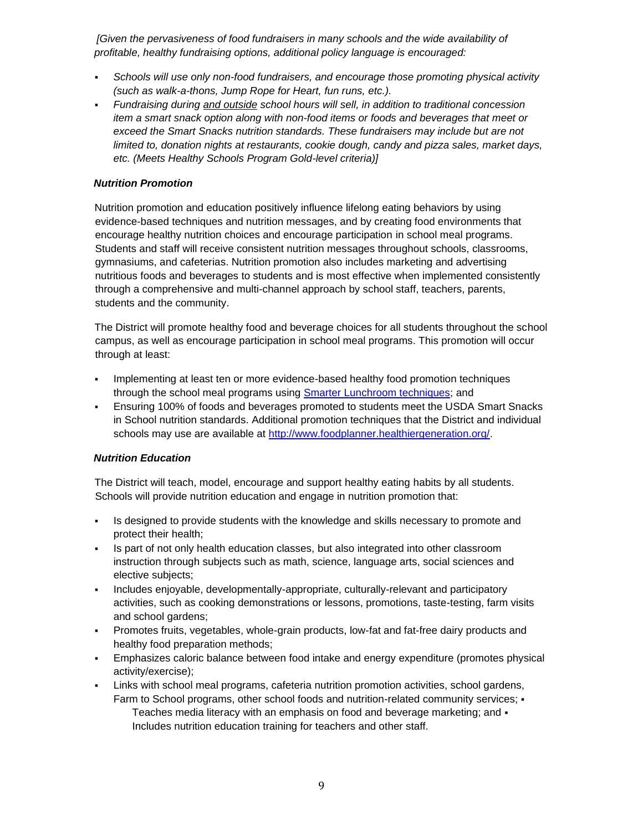*[Given the pervasiveness of food fundraisers in many schools and the wide availability of profitable, healthy fundraising options, additional policy language is encouraged:* 

- *Schools will use only non-food fundraisers, and encourage those promoting physical activity (such as walk-a-thons, Jump Rope for Heart, fun runs, etc.).*
- *Fundraising during and outside school hours will sell, in addition to traditional concession item a smart snack option along with non-food items or foods and beverages that meet or exceed the Smart Snacks nutrition standards. These fundraisers may include but are not limited to, donation nights at restaurants, cookie dough, candy and pizza sales, market days, etc. (Meets Healthy Schools Program Gold-level criteria)]*

#### <span id="page-8-0"></span>*Nutrition Promotion*

Nutrition promotion and education positively influence lifelong eating behaviors by using evidence-based techniques and nutrition messages, and by creating food environments that encourage healthy nutrition choices and encourage participation in school meal programs. Students and staff will receive consistent nutrition messages throughout schools, classrooms, gymnasiums, and cafeterias. Nutrition promotion also includes marketing and advertising nutritious foods and beverages to students and is most effective when implemented consistently through a comprehensive and multi-channel approach by school staff, teachers, parents, students and the community.

The District will promote healthy food and beverage choices for all students throughout the school campus, as well as encourage participation in school meal programs. This promotion will occur through at least:

- Implementing at least ten or more evidence-based healthy food promotion techniques through the school meal programs using **Smarter Lunchroom techniques**; and
- Ensuring 100% of foods and beverages promoted to students meet the USDA Smart Snacks in School nutrition standards. Additional promotion techniques that the District and individual schools may use are available at http://www.foodplanner.healthiergeneration.org/.

#### *Nutrition Education*

The District will teach, model, encourage and support healthy eating habits by all students. Schools will provide nutrition education and engage in nutrition promotion that:

- Is designed to provide students with the knowledge and skills necessary to promote and protect their health;
- Is part of not only health education classes, but also integrated into other classroom instruction through subjects such as math, science, language arts, social sciences and elective subjects;
- Includes enjoyable, developmentally-appropriate, culturally-relevant and participatory activities, such as cooking demonstrations or lessons, promotions, taste-testing, farm visits and school gardens;
- Promotes fruits, vegetables, whole-grain products, low-fat and fat-free dairy products and healthy food preparation methods;
- Emphasizes caloric balance between food intake and energy expenditure (promotes physical activity/exercise);
- Links with school meal programs, cafeteria nutrition promotion activities, school gardens, Farm to School programs, other school foods and nutrition-related community services; • Teaches media literacy with an emphasis on food and beverage marketing; and • Includes nutrition education training for teachers and other staff.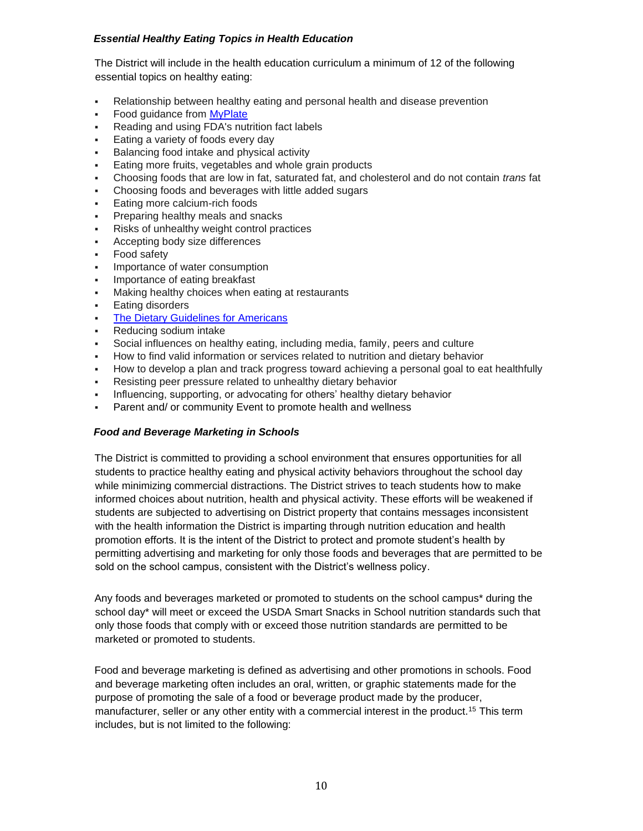#### *Essential Healthy Eating Topics in Health Education*

The District will include in the health education curriculum a minimum of 12 of the following essential topics on healthy eating:

- Relationship between healthy eating and personal health and disease prevention
- **Food quidance from [MyPlate](http://www.choosemyplate.gov/)**
- Reading and using FDA's nutrition fact labels
- Eating a variety of foods every day
- Balancing food intake and physical activity
- Eating more fruits, vegetables and whole grain products
- Choosing foods that are low in fat, saturated fat, and cholesterol and do not contain *trans* fat
- Choosing foods and beverages with little added sugars
- Eating more calcium-rich foods
- Preparing healthy meals and snacks
- Risks of unhealthy weight control practices
- Accepting body size differences
- Food safety
- **•** Importance of water consumption
- Importance of eating breakfast
- **EXEDENT** Making healthy choices when eating at restaurants
- Eating disorders
- **[The Dietary Guidelines for Americans](https://www.choosemyplate.gov/dietary-guidelines)**
- Reducing sodium intake
- Social influences on healthy eating, including media, family, peers and culture
- How to find valid information or services related to nutrition and dietary behavior
- How to develop a plan and track progress toward achieving a personal goal to eat healthfully
- Resisting peer pressure related to unhealthy dietary behavior
- Influencing, supporting, or advocating for others' healthy dietary behavior
- Parent and/ or community Event to promote health and wellness

#### *Food and Beverage Marketing in Schools*

The District is committed to providing a school environment that ensures opportunities for all students to practice healthy eating and physical activity behaviors throughout the school day while minimizing commercial distractions. The District strives to teach students how to make informed choices about nutrition, health and physical activity. These efforts will be weakened if students are subjected to advertising on District property that contains messages inconsistent with the health information the District is imparting through nutrition education and health promotion efforts. It is the intent of the District to protect and promote student's health by permitting advertising and marketing for only those foods and beverages that are permitted to be sold on the school campus, consistent with the District's wellness policy.

Any foods and beverages marketed or promoted to students on the school campus\* during the school day\* will meet or exceed the USDA Smart Snacks in School nutrition standards such that only those foods that comply with or exceed those nutrition standards are permitted to be marketed or promoted to students.

Food and beverage marketing is defined as advertising and other promotions in schools. Food and beverage marketing often includes an oral, written, or graphic statements made for the purpose of promoting the sale of a food or beverage product made by the producer, manufacturer, seller or any other entity with a commercial interest in the product.<sup>15</sup> This term includes, but is not limited to the following: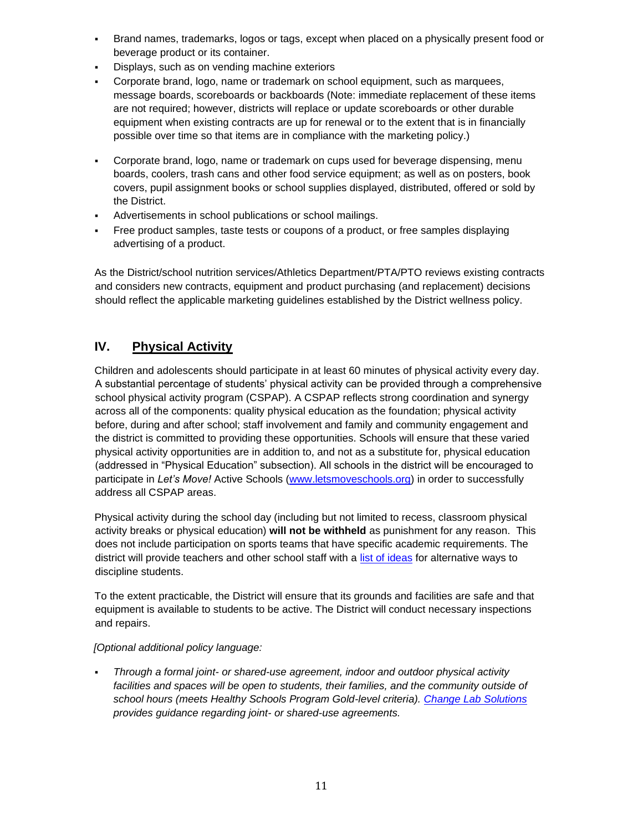- Brand names, trademarks, logos or tags, except when placed on a physically present food or beverage product or its container.
- **Displays, such as on vending machine exteriors**
- Corporate brand, logo, name or trademark on school equipment, such as marquees, message boards, scoreboards or backboards (Note: immediate replacement of these items are not required; however, districts will replace or update scoreboards or other durable equipment when existing contracts are up for renewal or to the extent that is in financially possible over time so that items are in compliance with the marketing policy.)
- Corporate brand, logo, name or trademark on cups used for beverage dispensing, menu boards, coolers, trash cans and other food service equipment; as well as on posters, book covers, pupil assignment books or school supplies displayed, distributed, offered or sold by the District.
- Advertisements in school publications or school mailings.
- Free product samples, taste tests or coupons of a product, or free samples displaying advertising of a product.

As the District/school nutrition services/Athletics Department/PTA/PTO reviews existing contracts and considers new contracts, equipment and product purchasing (and replacement) decisions should reflect the applicable marketing guidelines established by the District wellness policy.

# <span id="page-10-0"></span>**IV. Physical Activity**

Children and adolescents should participate in at least 60 minutes of physical activity every day. A substantial percentage of students' physical activity can be provided through a comprehensive school physical activity program (CSPAP). A CSPAP reflects strong coordination and synergy across all of the components: quality physical education as the foundation; physical activity before, during and after school; staff involvement and family and community engagement and the district is committed to providing these opportunities. Schools will ensure that these varied physical activity opportunities are in addition to, and not as a substitute for, physical education (addressed in "Physical Education" subsection). All schools in the district will be encouraged to participate in *Let's Move!* Active Schools [\(www.letsmoveschools.org\)](http://www.letsmoveschools.org/) in order to successfully address all CSPAP areas.

Physical activity during the school day (including but not limited to recess, classroom physical activity breaks or physical education) **will not be withheld** as punishment for any reason. This does not include participation on sports teams that have specific academic requirements. The district will provide teachers and other school staff with a [list of ideas](http://cspinet.org/new/pdf/constructive_classroom_rewards.pdf) [f](http://cspinet.org/new/pdf/constructive_classroom_rewards.pdf)or alternative ways to discipline students.

To the extent practicable, the District will ensure that its grounds and facilities are safe and that equipment is available to students to be active. The District will conduct necessary inspections and repairs.

### *[Optional additional policy language:*

▪ *Through a formal joint- or shared-use agreement, indoor and outdoor physical activity*  facilities and spaces will be open to students, their families, and the community outside of *school hours (meets Healthy Schools Program Gold-level criteria). [Change Lab Solutions](http://changelabsolutions.org/shared-use) provides guidance regarding joint- or shared-use agreements.*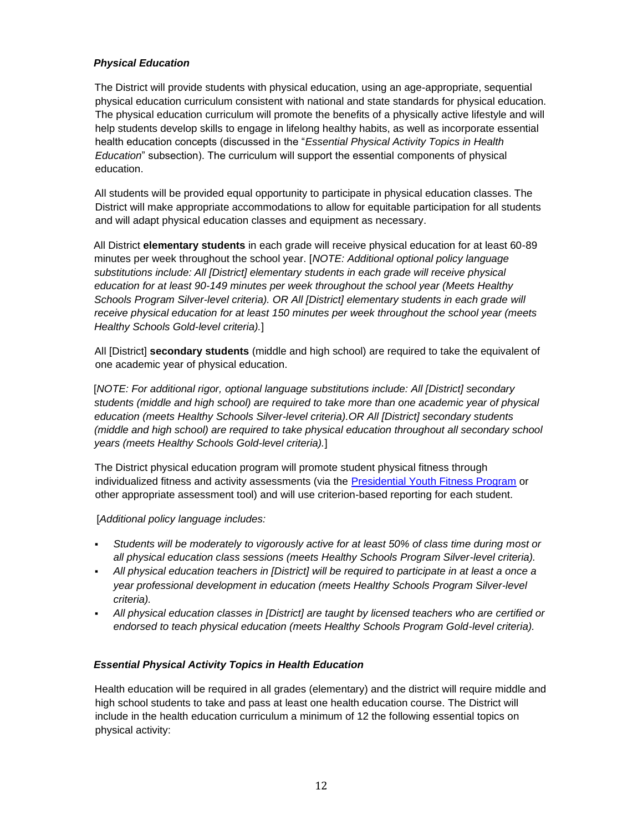#### *Physical Education*

The District will provide students with physical education, using an age-appropriate, sequential physical education curriculum consistent with national and state standards for physical education. The physical education curriculum will promote the benefits of a physically active lifestyle and will help students develop skills to engage in lifelong healthy habits, as well as incorporate essential health education concepts (discussed in the "*Essential Physical Activity Topics in Health Education*" subsection). The curriculum will support the essential components of physical education.

All students will be provided equal opportunity to participate in physical education classes. The District will make appropriate accommodations to allow for equitable participation for all students and will adapt physical education classes and equipment as necessary.

All District **elementary students** in each grade will receive physical education for at least 60-89 minutes per week throughout the school year. [*NOTE: Additional optional policy language substitutions include: All [District] elementary students in each grade will receive physical education for at least 90-149 minutes per week throughout the school year (Meets Healthy Schools Program Silver-level criteria). OR All [District] elementary students in each grade will receive physical education for at least 150 minutes per week throughout the school year (meets Healthy Schools Gold-level criteria).*]

All [District] **secondary students** (middle and high school) are required to take the equivalent of one academic year of physical education.

[*NOTE: For additional rigor, optional language substitutions include: All [District] secondary students (middle and high school) are required to take more than one academic year of physical education (meets Healthy Schools Silver-level criteria).OR All [District] secondary students (middle and high school) are required to take physical education throughout all secondary school years (meets Healthy Schools Gold-level criteria).*]

The District physical education program will promote student physical fitness through individualized fitness and activity assessments (via the [Presidential Youth Fitness Program](http://www.pyfp.org/) [o](http://www.pyfp.org/)r other appropriate assessment tool) and will use criterion-based reporting for each student.

[*Additional policy language includes:* 

- *Students will be moderately to vigorously active for at least 50% of class time during most or all physical education class sessions (meets Healthy Schools Program Silver-level criteria).*
- *All physical education teachers in [District] will be required to participate in at least a once a year professional development in education (meets Healthy Schools Program Silver-level criteria).*
- *All physical education classes in [District] are taught by licensed teachers who are certified or endorsed to teach physical education (meets Healthy Schools Program Gold-level criteria).*

#### *Essential Physical Activity Topics in Health Education*

Health education will be required in all grades (elementary) and the district will require middle and high school students to take and pass at least one health education course. The District will include in the health education curriculum a minimum of 12 the following essential topics on physical activity: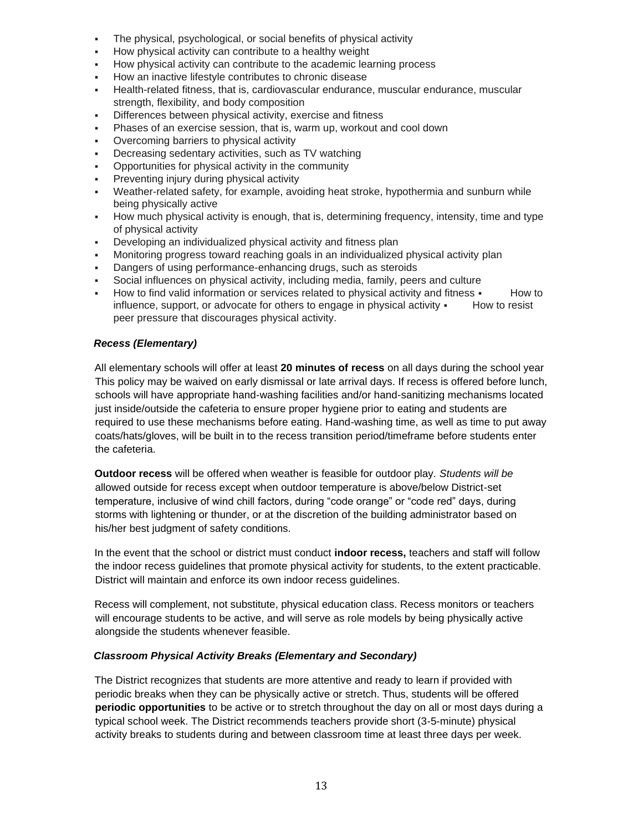- The physical, psychological, or social benefits of physical activity
- How physical activity can contribute to a healthy weight
- How physical activity can contribute to the academic learning process
- How an inactive lifestyle contributes to chronic disease
- Health-related fitness, that is, cardiovascular endurance, muscular endurance, muscular strength, flexibility, and body composition
- **•** Differences between physical activity, exercise and fitness
- Phases of an exercise session, that is, warm up, workout and cool down
- Overcoming barriers to physical activity
- Decreasing sedentary activities, such as TV watching
- Opportunities for physical activity in the community
- Preventing injury during physical activity
- Weather-related safety, for example, avoiding heat stroke, hypothermia and sunburn while being physically active
- How much physical activity is enough, that is, determining frequency, intensity, time and type of physical activity
- Developing an individualized physical activity and fitness plan
- Monitoring progress toward reaching goals in an individualized physical activity plan
- Dangers of using performance-enhancing drugs, such as steroids
- Social influences on physical activity, including media, family, peers and culture
- How to find valid information or services related to physical activity and fitness How to influence, support, or advocate for others to engage in physical activity · How to resist peer pressure that discourages physical activity.

#### *Recess (Elementary)*

All elementary schools will offer at least **20 minutes of recess** on all days during the school year This policy may be waived on early dismissal or late arrival days. If recess is offered before lunch, schools will have appropriate hand-washing facilities and/or hand-sanitizing mechanisms located just inside/outside the cafeteria to ensure proper hygiene prior to eating and students are required to use these mechanisms before eating. Hand-washing time, as well as time to put away coats/hats/gloves, will be built in to the recess transition period/timeframe before students enter the cafeteria.

**Outdoor recess** will be offered when weather is feasible for outdoor play*. Students will be*  allowed outside for recess except when outdoor temperature is above/below District-set temperature, inclusive of wind chill factors, during "code orange" or "code red" days, during storms with lightening or thunder, or at the discretion of the building administrator based on his/her best judgment of safety conditions.

In the event that the school or district must conduct **indoor recess,** teachers and staff will follow the indoor recess guidelines that promote physical activity for students, to the extent practicable. District will maintain and enforce its own indoor recess guidelines.

Recess will complement, not substitute, physical education class. Recess monitors or teachers will encourage students to be active, and will serve as role models by being physically active alongside the students whenever feasible.

#### *Classroom Physical Activity Breaks (Elementary and Secondary)*

The District recognizes that students are more attentive and ready to learn if provided with periodic breaks when they can be physically active or stretch. Thus, students will be offered **periodic opportunities** to be active or to stretch throughout the day on all or most days during a typical school week. The District recommends teachers provide short (3-5-minute) physical activity breaks to students during and between classroom time at least three days per week.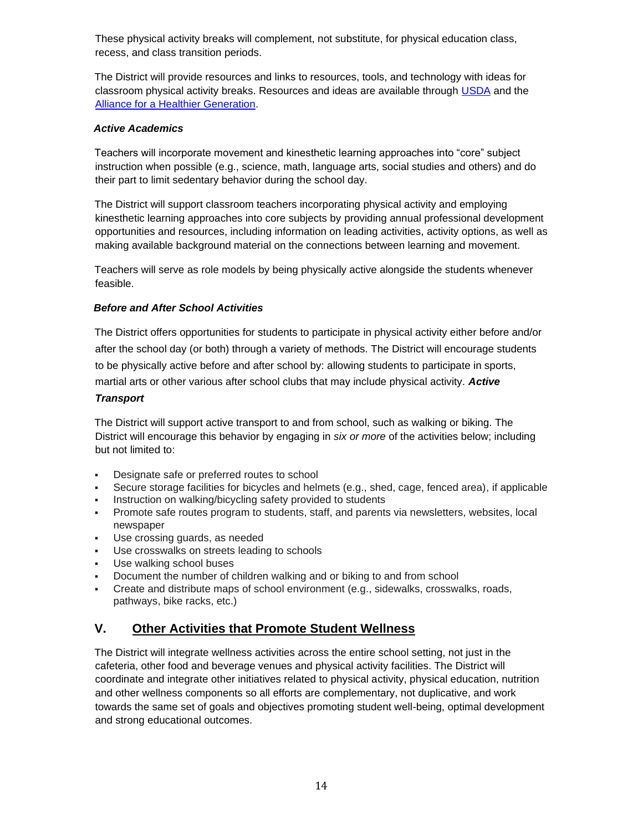These physical activity breaks will complement, not substitute, for physical education class, recess, and class transition periods.

The District will provide resources and links to resources, tools, and technology with ideas for classroom physical activity breaks. Resources and ideas are available through [USDA](http://healthymeals.nal.usda.gov/resource-library/physical-activity-school-aged-children/activities-and-tools) and the [Alliance for a Healthier Generation.](https://www.healthiergeneration.org/take_action/schools/physical_activity/physical_activities/) 

#### *Active Academics*

Teachers will incorporate movement and kinesthetic learning approaches into "core" subject instruction when possible (e.g., science, math, language arts, social studies and others) and do their part to limit sedentary behavior during the school day.

The District will support classroom teachers incorporating physical activity and employing kinesthetic learning approaches into core subjects by providing annual professional development opportunities and resources, including information on leading activities, activity options, as well as making available background material on the connections between learning and movement.

Teachers will serve as role models by being physically active alongside the students whenever feasible.

#### *Before and After School Activities*

The District offers opportunities for students to participate in physical activity either before and/or after the school day (or both) through a variety of methods. The District will encourage students to be physically active before and after school by: allowing students to participate in sports, martial arts or other various after school clubs that may include physical activity. *Active* 

#### *Transport*

The District will support active transport to and from school, such as walking or biking. The District will encourage this behavior by engaging in *six or more* of the activities below; including but not limited to:

- **•** Designate safe or preferred routes to school
- Secure storage facilities for bicycles and helmets (e.g., shed, cage, fenced area), if applicable
- **Instruction on walking/bicycling safety provided to students**
- Promote safe routes program to students, staff, and parents via newsletters, websites, local newspaper
- Use crossing guards, as needed
- Use crosswalks on streets leading to schools
- Use walking school buses
- Document the number of children walking and or biking to and from school
- Create and distribute maps of school environment (e.g., sidewalks, crosswalks, roads, pathways, bike racks, etc.)

# <span id="page-13-0"></span>**V. Other Activities that Promote Student Wellness**

The District will integrate wellness activities across the entire school setting, not just in the cafeteria, other food and beverage venues and physical activity facilities. The District will coordinate and integrate other initiatives related to physical activity, physical education, nutrition and other wellness components so all efforts are complementary, not duplicative, and work towards the same set of goals and objectives promoting student well-being, optimal development and strong educational outcomes.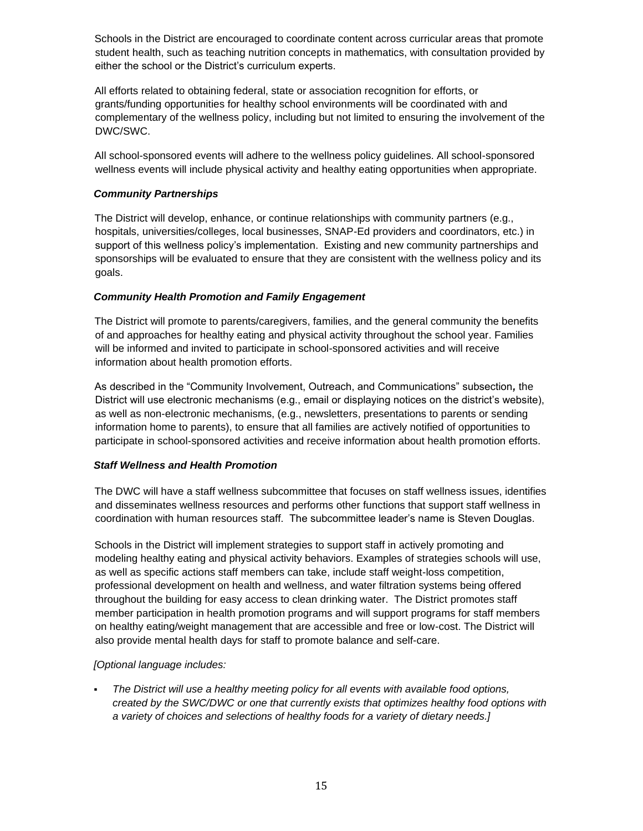Schools in the District are encouraged to coordinate content across curricular areas that promote student health, such as teaching nutrition concepts in mathematics, with consultation provided by either the school or the District's curriculum experts.

All efforts related to obtaining federal, state or association recognition for efforts, or grants/funding opportunities for healthy school environments will be coordinated with and complementary of the wellness policy, including but not limited to ensuring the involvement of the DWC/SWC.

All school-sponsored events will adhere to the wellness policy guidelines. All school-sponsored wellness events will include physical activity and healthy eating opportunities when appropriate.

#### *Community Partnerships*

The District will develop, enhance, or continue relationships with community partners (e.g., hospitals, universities/colleges, local businesses, SNAP-Ed providers and coordinators, etc.) in support of this wellness policy's implementation. Existing and new community partnerships and sponsorships will be evaluated to ensure that they are consistent with the wellness policy and its goals.

#### *Community Health Promotion and Family Engagement*

The District will promote to parents/caregivers, families, and the general community the benefits of and approaches for healthy eating and physical activity throughout the school year. Families will be informed and invited to participate in school-sponsored activities and will receive information about health promotion efforts.

As described in the "Community Involvement, Outreach, and Communications" subsection*,* the District will use electronic mechanisms (e.g., email or displaying notices on the district's website), as well as non-electronic mechanisms, (e.g., newsletters, presentations to parents or sending information home to parents), to ensure that all families are actively notified of opportunities to participate in school-sponsored activities and receive information about health promotion efforts.

#### *Staff Wellness and Health Promotion*

The DWC will have a staff wellness subcommittee that focuses on staff wellness issues, identifies and disseminates wellness resources and performs other functions that support staff wellness in coordination with human resources staff. The subcommittee leader's name is Steven Douglas.

Schools in the District will implement strategies to support staff in actively promoting and modeling healthy eating and physical activity behaviors. Examples of strategies schools will use, as well as specific actions staff members can take, include staff weight-loss competition, professional development on health and wellness, and water filtration systems being offered throughout the building for easy access to clean drinking water. The District promotes staff member participation in health promotion programs and will support programs for staff members on healthy eating/weight management that are accessible and free or low-cost. The District will also provide mental health days for staff to promote balance and self-care.

#### *[Optional language includes:*

The District will use a healthy meeting policy for all events with available food options, *created by the SWC/DWC or one that currently exists that optimizes healthy food options with a variety of choices and selections of healthy foods for a variety of dietary needs.]*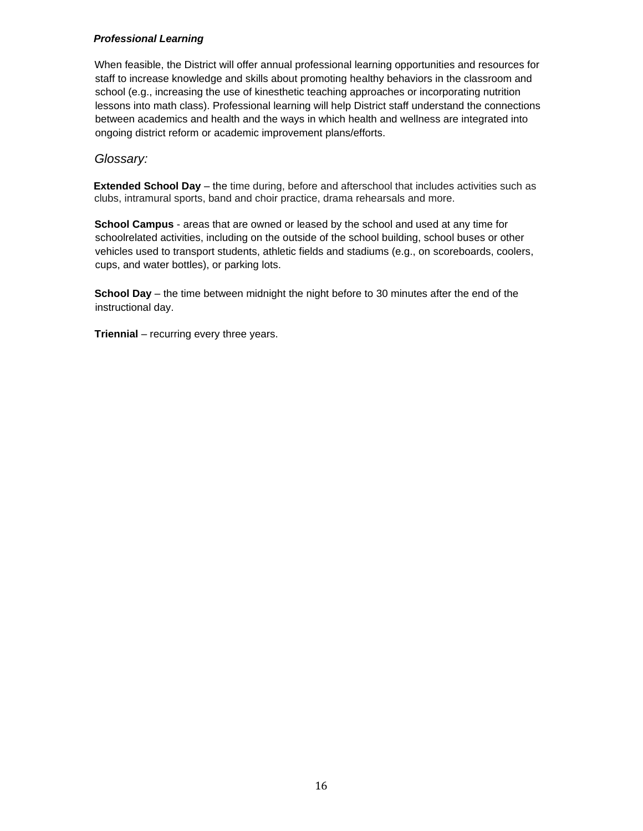#### *Professional Learning*

When feasible, the District will offer annual professional learning opportunities and resources for staff to increase knowledge and skills about promoting healthy behaviors in the classroom and school (e.g., increasing the use of kinesthetic teaching approaches or incorporating nutrition lessons into math class). Professional learning will help District staff understand the connections between academics and health and the ways in which health and wellness are integrated into ongoing district reform or academic improvement plans/efforts.

#### *Glossary:*

**Extended School Day** – the time during, before and afterschool that includes activities such as clubs, intramural sports, band and choir practice, drama rehearsals and more.

**School Campus** - areas that are owned or leased by the school and used at any time for schoolrelated activities, including on the outside of the school building, school buses or other vehicles used to transport students, athletic fields and stadiums (e.g., on scoreboards, coolers, cups, and water bottles), or parking lots.

**School Day** – the time between midnight the night before to 30 minutes after the end of the instructional day.

**Triennial** – recurring every three years.